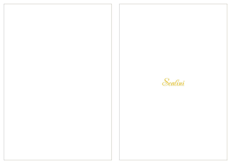